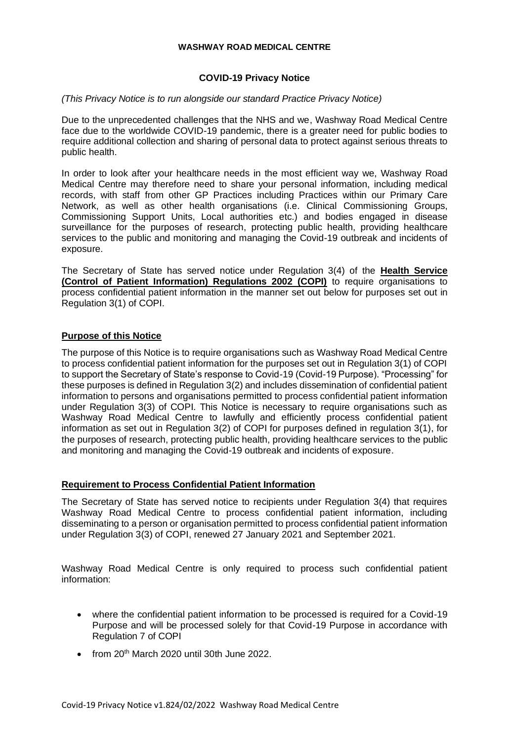#### **WASHWAY ROAD MEDICAL CENTRE**

## **COVID-19 Privacy Notice**

#### *(This Privacy Notice is to run alongside our standard Practice Privacy Notice)*

Due to the unprecedented challenges that the NHS and we, Washway Road Medical Centre face due to the worldwide COVID-19 pandemic, there is a greater need for public bodies to require additional collection and sharing of personal data to protect against serious threats to public health.

In order to look after your healthcare needs in the most efficient way we, Washway Road Medical Centre may therefore need to share your personal information, including medical records, with staff from other GP Practices including Practices within our Primary Care Network, as well as other health organisations (i.e. Clinical Commissioning Groups, Commissioning Support Units, Local authorities etc.) and bodies engaged in disease surveillance for the purposes of research, protecting public health, providing healthcare services to the public and monitoring and managing the Covid-19 outbreak and incidents of exposure.

The Secretary of State has served notice under Regulation 3(4) of the **Health Service (Control of Patient Information) Regulations 2002 (COPI)** to require organisations to process confidential patient information in the manner set out below for purposes set out in Regulation 3(1) of COPI.

### **Purpose of this Notice**

The purpose of this Notice is to require organisations such as Washway Road Medical Centre to process confidential patient information for the purposes set out in Regulation 3(1) of COPI to support the Secretary of State's response to Covid-19 (Covid-19 Purpose). "Processing" for these purposes is defined in Regulation 3(2) and includes dissemination of confidential patient information to persons and organisations permitted to process confidential patient information under Regulation 3(3) of COPI. This Notice is necessary to require organisations such as Washway Road Medical Centre to lawfully and efficiently process confidential patient information as set out in Regulation 3(2) of COPI for purposes defined in regulation 3(1), for the purposes of research, protecting public health, providing healthcare services to the public and monitoring and managing the Covid-19 outbreak and incidents of exposure.

#### **Requirement to Process Confidential Patient Information**

The Secretary of State has served notice to recipients under Regulation 3(4) that requires Washway Road Medical Centre to process confidential patient information, including disseminating to a person or organisation permitted to process confidential patient information under Regulation 3(3) of COPI, renewed 27 January 2021 and September 2021.

Washway Road Medical Centre is only required to process such confidential patient information:

- where the confidential patient information to be processed is required for a Covid-19 Purpose and will be processed solely for that Covid-19 Purpose in accordance with Regulation 7 of COPI
- from 20<sup>th</sup> March 2020 until 30th June 2022.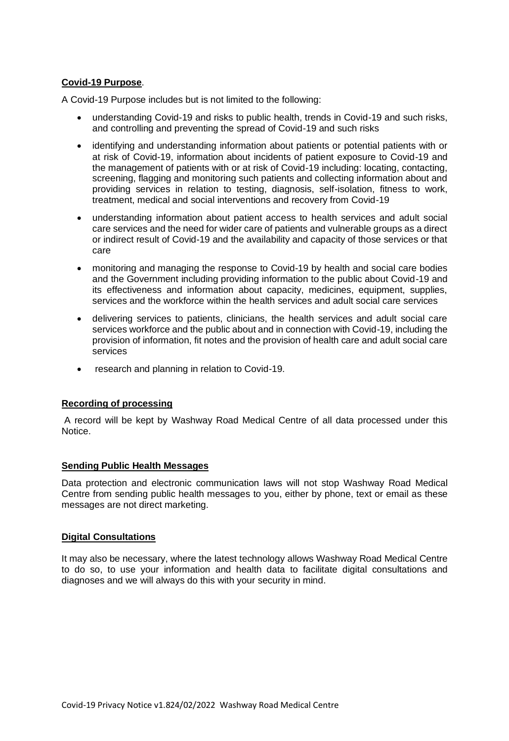# **Covid-19 Purpose**.

A Covid-19 Purpose includes but is not limited to the following:

- understanding Covid-19 and risks to public health, trends in Covid-19 and such risks, and controlling and preventing the spread of Covid-19 and such risks
- identifying and understanding information about patients or potential patients with or at risk of Covid-19, information about incidents of patient exposure to Covid-19 and the management of patients with or at risk of Covid-19 including: locating, contacting, screening, flagging and monitoring such patients and collecting information about and providing services in relation to testing, diagnosis, self-isolation, fitness to work, treatment, medical and social interventions and recovery from Covid-19
- understanding information about patient access to health services and adult social care services and the need for wider care of patients and vulnerable groups as a direct or indirect result of Covid-19 and the availability and capacity of those services or that care
- monitoring and managing the response to Covid-19 by health and social care bodies and the Government including providing information to the public about Covid-19 and its effectiveness and information about capacity, medicines, equipment, supplies, services and the workforce within the health services and adult social care services
- delivering services to patients, clinicians, the health services and adult social care services workforce and the public about and in connection with Covid-19, including the provision of information, fit notes and the provision of health care and adult social care services
- research and planning in relation to Covid-19.

## **Recording of processing**

A record will be kept by Washway Road Medical Centre of all data processed under this Notice.

#### **Sending Public Health Messages**

Data protection and electronic communication laws will not stop Washway Road Medical Centre from sending public health messages to you, either by phone, text or email as these messages are not direct marketing.

#### **Digital Consultations**

It may also be necessary, where the latest technology allows Washway Road Medical Centre to do so, to use your information and health data to facilitate digital consultations and diagnoses and we will always do this with your security in mind.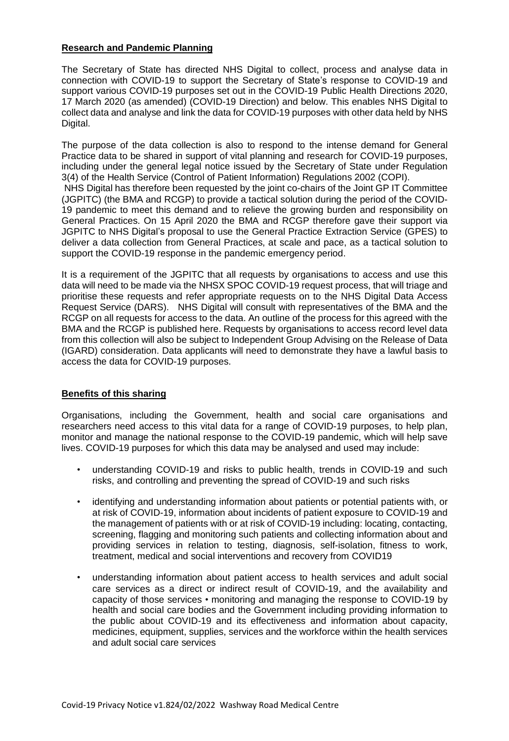### **Research and Pandemic Planning**

The Secretary of State has directed NHS Digital to collect, process and analyse data in connection with COVID-19 to support the Secretary of State's response to COVID-19 and support various COVID-19 purposes set out in the COVID-19 Public Health Directions 2020, 17 March 2020 (as amended) (COVID-19 Direction) and below. This enables NHS Digital to collect data and analyse and link the data for COVID-19 purposes with other data held by NHS Digital.

The purpose of the data collection is also to respond to the intense demand for General Practice data to be shared in support of vital planning and research for COVID-19 purposes, including under the general legal notice issued by the Secretary of State under Regulation 3(4) of the Health Service (Control of Patient Information) Regulations 2002 (COPI). NHS Digital has therefore been requested by the joint co-chairs of the Joint GP IT Committee (JGPITC) (the BMA and RCGP) to provide a tactical solution during the period of the COVID-19 pandemic to meet this demand and to relieve the growing burden and responsibility on General Practices. On 15 April 2020 the BMA and RCGP therefore gave their support via JGPITC to NHS Digital's proposal to use the General Practice Extraction Service (GPES) to deliver a data collection from General Practices, at scale and pace, as a tactical solution to support the COVID-19 response in the pandemic emergency period.

It is a requirement of the JGPITC that all requests by organisations to access and use this data will need to be made via the NHSX SPOC COVID-19 request process, that will triage and prioritise these requests and refer appropriate requests on to the NHS Digital Data Access Request Service (DARS). NHS Digital will consult with representatives of the BMA and the RCGP on all requests for access to the data. An outline of the process for this agreed with the BMA and the RCGP is published here. Requests by organisations to access record level data from this collection will also be subject to Independent Group Advising on the Release of Data (IGARD) consideration. Data applicants will need to demonstrate they have a lawful basis to access the data for COVID-19 purposes.

## **Benefits of this sharing**

Organisations, including the Government, health and social care organisations and researchers need access to this vital data for a range of COVID-19 purposes, to help plan, monitor and manage the national response to the COVID-19 pandemic, which will help save lives. COVID-19 purposes for which this data may be analysed and used may include:

- understanding COVID-19 and risks to public health, trends in COVID-19 and such risks, and controlling and preventing the spread of COVID-19 and such risks
- identifying and understanding information about patients or potential patients with, or at risk of COVID-19, information about incidents of patient exposure to COVID-19 and the management of patients with or at risk of COVID-19 including: locating, contacting, screening, flagging and monitoring such patients and collecting information about and providing services in relation to testing, diagnosis, self-isolation, fitness to work, treatment, medical and social interventions and recovery from COVID19
- understanding information about patient access to health services and adult social care services as a direct or indirect result of COVID-19, and the availability and capacity of those services • monitoring and managing the response to COVID-19 by health and social care bodies and the Government including providing information to the public about COVID-19 and its effectiveness and information about capacity, medicines, equipment, supplies, services and the workforce within the health services and adult social care services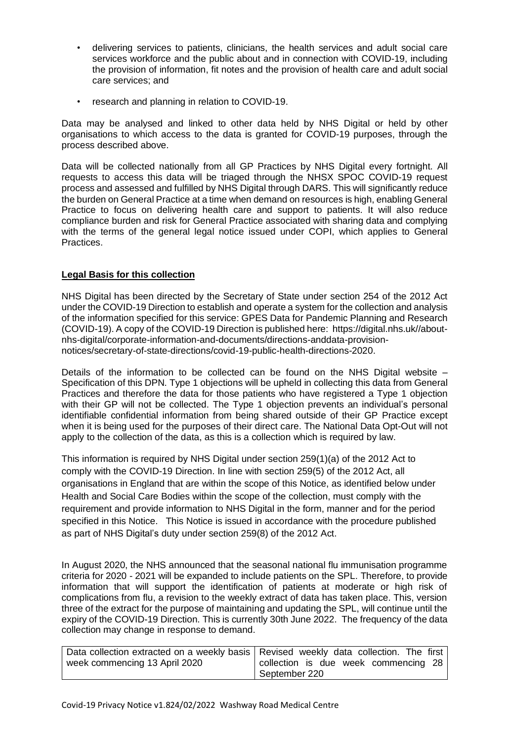- delivering services to patients, clinicians, the health services and adult social care services workforce and the public about and in connection with COVID-19, including the provision of information, fit notes and the provision of health care and adult social care services; and
- research and planning in relation to COVID-19.

Data may be analysed and linked to other data held by NHS Digital or held by other organisations to which access to the data is granted for COVID-19 purposes, through the process described above.

Data will be collected nationally from all GP Practices by NHS Digital every fortnight. All requests to access this data will be triaged through the NHSX SPOC COVID-19 request process and assessed and fulfilled by NHS Digital through DARS. This will significantly reduce the burden on General Practice at a time when demand on resources is high, enabling General Practice to focus on delivering health care and support to patients. It will also reduce compliance burden and risk for General Practice associated with sharing data and complying with the terms of the general legal notice issued under COPI, which applies to General Practices.

### **Legal Basis for this collection**

NHS Digital has been directed by the Secretary of State under section 254 of the 2012 Act under the COVID-19 Direction to establish and operate a system for the collection and analysis of the information specified for this service: GPES Data for Pandemic Planning and Research (COVID-19). A copy of the COVID-19 Direction is published here: https://digital.nhs.uk//aboutnhs-digital/corporate-information-and-documents/directions-anddata-provisionnotices/secretary-of-state-directions/covid-19-public-health-directions-2020.

Details of the information to be collected can be found on the NHS Digital website – Specification of this DPN. Type 1 objections will be upheld in collecting this data from General Practices and therefore the data for those patients who have registered a Type 1 objection with their GP will not be collected. The Type 1 objection prevents an individual's personal identifiable confidential information from being shared outside of their GP Practice except when it is being used for the purposes of their direct care. The National Data Opt-Out will not apply to the collection of the data, as this is a collection which is required by law.

This information is required by NHS Digital under section 259(1)(a) of the 2012 Act to comply with the COVID-19 Direction. In line with section 259(5) of the 2012 Act, all organisations in England that are within the scope of this Notice, as identified below under Health and Social Care Bodies within the scope of the collection, must comply with the requirement and provide information to NHS Digital in the form, manner and for the period specified in this Notice. This Notice is issued in accordance with the procedure published as part of NHS Digital's duty under section 259(8) of the 2012 Act.

In August 2020, the NHS announced that the seasonal national flu immunisation programme criteria for 2020 - 2021 will be expanded to include patients on the SPL. Therefore, to provide information that will support the identification of patients at moderate or high risk of complications from flu, a revision to the weekly extract of data has taken place. This, version three of the extract for the purpose of maintaining and updating the SPL, will continue until the expiry of the COVID-19 Direction. This is currently 30th June 2022. The frequency of the data collection may change in response to demand.

| Data collection extracted on a weekly basis   Revised weekly data collection. The first |                                      |
|-----------------------------------------------------------------------------------------|--------------------------------------|
| week commencing 13 April 2020                                                           | collection is due week commencing 28 |
|                                                                                         | September 220                        |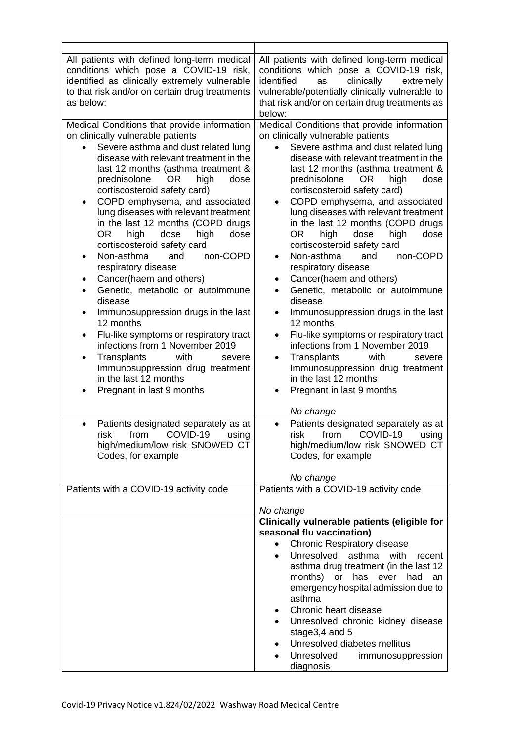| All patients with defined long-term medical<br>conditions which pose a COVID-19 risk,<br>identified as clinically extremely vulnerable<br>to that risk and/or on certain drug treatments<br>as below:<br>Medical Conditions that provide information                                                                                                                                                                                                                                                                                                                                                                                                                                                                                                                                                                                                                                                                                                                                                                                      | All patients with defined long-term medical<br>conditions which pose a COVID-19 risk,<br>identified<br>clinically<br>extremely<br>as<br>vulnerable/potentially clinically vulnerable to<br>that risk and/or on certain drug treatments as<br>below:<br>Medical Conditions that provide information                                                                                                                                                                                                                                                                                                                                                                                                                                                                                                                                                                                                                                                                                                                                                                                                    |
|-------------------------------------------------------------------------------------------------------------------------------------------------------------------------------------------------------------------------------------------------------------------------------------------------------------------------------------------------------------------------------------------------------------------------------------------------------------------------------------------------------------------------------------------------------------------------------------------------------------------------------------------------------------------------------------------------------------------------------------------------------------------------------------------------------------------------------------------------------------------------------------------------------------------------------------------------------------------------------------------------------------------------------------------|-------------------------------------------------------------------------------------------------------------------------------------------------------------------------------------------------------------------------------------------------------------------------------------------------------------------------------------------------------------------------------------------------------------------------------------------------------------------------------------------------------------------------------------------------------------------------------------------------------------------------------------------------------------------------------------------------------------------------------------------------------------------------------------------------------------------------------------------------------------------------------------------------------------------------------------------------------------------------------------------------------------------------------------------------------------------------------------------------------|
| on clinically vulnerable patients<br>Severe asthma and dust related lung<br>disease with relevant treatment in the<br>last 12 months (asthma treatment &<br>prednisolone<br>high<br>OR.<br>dose<br>cortiscosteroid safety card)<br>COPD emphysema, and associated<br>$\bullet$<br>lung diseases with relevant treatment<br>in the last 12 months (COPD drugs<br><b>OR</b><br>high<br>dose<br>high<br>dose<br>cortiscosteroid safety card<br>Non-asthma<br>and<br>non-COPD<br>respiratory disease<br>Cancer(haem and others)<br>٠<br>Genetic, metabolic or autoimmune<br>$\bullet$<br>disease<br>Immunosuppression drugs in the last<br>٠<br>12 months<br>Flu-like symptoms or respiratory tract<br>$\bullet$<br>infections from 1 November 2019<br>Transplants<br>with<br>severe<br>$\bullet$<br>Immunosuppression drug treatment<br>in the last 12 months<br>Pregnant in last 9 months<br>Patients designated separately as at<br>$\bullet$<br>COVID-19<br>risk<br>from<br>using<br>high/medium/low risk SNOWED CT<br>Codes, for example | on clinically vulnerable patients<br>Severe asthma and dust related lung<br>$\bullet$<br>disease with relevant treatment in the<br>last 12 months (asthma treatment &<br>prednisolone<br>dose<br>OR.<br>high<br>cortiscosteroid safety card)<br>COPD emphysema, and associated<br>$\bullet$<br>lung diseases with relevant treatment<br>in the last 12 months (COPD drugs<br><b>OR</b><br>high<br>dose<br>high<br>dose<br>cortiscosteroid safety card<br>Non-asthma<br>and<br>non-COPD<br>$\bullet$<br>respiratory disease<br>Cancer(haem and others)<br>$\bullet$<br>Genetic, metabolic or autoimmune<br>$\bullet$<br>disease<br>Immunosuppression drugs in the last<br>٠<br>12 months<br>Flu-like symptoms or respiratory tract<br>$\bullet$<br>infections from 1 November 2019<br>Transplants<br>with<br>severe<br>$\bullet$<br>Immunosuppression drug treatment<br>in the last 12 months<br>Pregnant in last 9 months<br>$\bullet$<br>No change<br>Patients designated separately as at<br>$\bullet$<br>COVID-19<br>risk<br>from<br>using<br>high/medium/low risk SNOWED CT<br>Codes, for example |
|                                                                                                                                                                                                                                                                                                                                                                                                                                                                                                                                                                                                                                                                                                                                                                                                                                                                                                                                                                                                                                           | No change                                                                                                                                                                                                                                                                                                                                                                                                                                                                                                                                                                                                                                                                                                                                                                                                                                                                                                                                                                                                                                                                                             |
| Patients with a COVID-19 activity code                                                                                                                                                                                                                                                                                                                                                                                                                                                                                                                                                                                                                                                                                                                                                                                                                                                                                                                                                                                                    | Patients with a COVID-19 activity code                                                                                                                                                                                                                                                                                                                                                                                                                                                                                                                                                                                                                                                                                                                                                                                                                                                                                                                                                                                                                                                                |
|                                                                                                                                                                                                                                                                                                                                                                                                                                                                                                                                                                                                                                                                                                                                                                                                                                                                                                                                                                                                                                           | No change<br>Clinically vulnerable patients (eligible for                                                                                                                                                                                                                                                                                                                                                                                                                                                                                                                                                                                                                                                                                                                                                                                                                                                                                                                                                                                                                                             |
|                                                                                                                                                                                                                                                                                                                                                                                                                                                                                                                                                                                                                                                                                                                                                                                                                                                                                                                                                                                                                                           | seasonal flu vaccination)                                                                                                                                                                                                                                                                                                                                                                                                                                                                                                                                                                                                                                                                                                                                                                                                                                                                                                                                                                                                                                                                             |
|                                                                                                                                                                                                                                                                                                                                                                                                                                                                                                                                                                                                                                                                                                                                                                                                                                                                                                                                                                                                                                           | <b>Chronic Respiratory disease</b><br>$\bullet$<br>Unresolved<br>asthma<br>with<br>recent<br>$\bullet$                                                                                                                                                                                                                                                                                                                                                                                                                                                                                                                                                                                                                                                                                                                                                                                                                                                                                                                                                                                                |
|                                                                                                                                                                                                                                                                                                                                                                                                                                                                                                                                                                                                                                                                                                                                                                                                                                                                                                                                                                                                                                           | asthma drug treatment (in the last 12<br>months) or has ever<br>had<br>an<br>emergency hospital admission due to<br>asthma                                                                                                                                                                                                                                                                                                                                                                                                                                                                                                                                                                                                                                                                                                                                                                                                                                                                                                                                                                            |
|                                                                                                                                                                                                                                                                                                                                                                                                                                                                                                                                                                                                                                                                                                                                                                                                                                                                                                                                                                                                                                           | Chronic heart disease<br>٠<br>Unresolved chronic kidney disease                                                                                                                                                                                                                                                                                                                                                                                                                                                                                                                                                                                                                                                                                                                                                                                                                                                                                                                                                                                                                                       |
|                                                                                                                                                                                                                                                                                                                                                                                                                                                                                                                                                                                                                                                                                                                                                                                                                                                                                                                                                                                                                                           | stage3,4 and 5<br>Unresolved diabetes mellitus<br>Unresolved<br>immunosuppression<br>diagnosis                                                                                                                                                                                                                                                                                                                                                                                                                                                                                                                                                                                                                                                                                                                                                                                                                                                                                                                                                                                                        |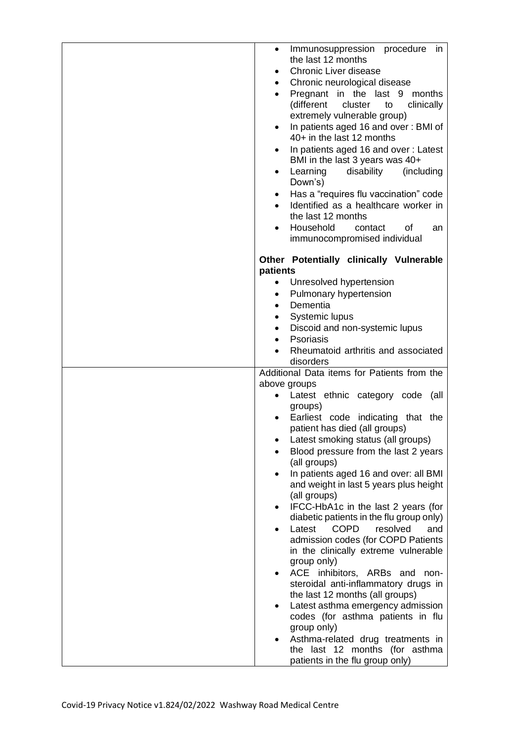| Immunosuppression procedure<br>in<br>$\bullet$<br>the last 12 months<br><b>Chronic Liver disease</b><br>$\bullet$<br>Chronic neurological disease<br>$\bullet$<br>Pregnant in the last 9<br>months<br>$\bullet$<br>(different<br>cluster<br>clinically<br>to<br>extremely vulnerable group)<br>In patients aged 16 and over: BMI of<br>$\bullet$<br>40+ in the last 12 months<br>In patients aged 16 and over: Latest<br>$\bullet$<br>BMI in the last 3 years was 40+<br>Learning<br>disability<br>(including<br>$\bullet$<br>Down's)<br>Has a "requires flu vaccination" code<br>$\bullet$<br>Identified as a healthcare worker in<br>the last 12 months<br>Household<br>contact<br>of<br>an<br>$\bullet$<br>immunocompromised individual                                                                                                                                                                                                                                                                              |
|-------------------------------------------------------------------------------------------------------------------------------------------------------------------------------------------------------------------------------------------------------------------------------------------------------------------------------------------------------------------------------------------------------------------------------------------------------------------------------------------------------------------------------------------------------------------------------------------------------------------------------------------------------------------------------------------------------------------------------------------------------------------------------------------------------------------------------------------------------------------------------------------------------------------------------------------------------------------------------------------------------------------------|
| Other Potentially clinically Vulnerable<br>patients<br>Unresolved hypertension<br>٠<br>Pulmonary hypertension<br>$\bullet$<br>Dementia<br>$\bullet$<br>Systemic lupus<br>٠<br>Discoid and non-systemic lupus<br>$\bullet$<br>Psoriasis<br>$\bullet$<br>Rheumatoid arthritis and associated                                                                                                                                                                                                                                                                                                                                                                                                                                                                                                                                                                                                                                                                                                                              |
| disorders<br>Additional Data items for Patients from the<br>above groups<br>Latest ethnic category code (all<br>groups)<br>Earliest code indicating that the<br>$\bullet$<br>patient has died (all groups)<br>Latest smoking status (all groups)<br>Blood pressure from the last 2 years<br>(all groups)<br>In patients aged 16 and over: all BMI<br>$\bullet$<br>and weight in last 5 years plus height<br>(all groups)<br>IFCC-HbA1c in the last 2 years (for<br>$\bullet$<br>diabetic patients in the flu group only)<br><b>COPD</b><br>Latest<br>resolved<br>and<br>admission codes (for COPD Patients<br>in the clinically extreme vulnerable<br>group only)<br>ACE inhibitors, ARBs and non-<br>$\bullet$<br>steroidal anti-inflammatory drugs in<br>the last 12 months (all groups)<br>Latest asthma emergency admission<br>$\bullet$<br>codes (for asthma patients in flu<br>group only)<br>Asthma-related drug treatments in<br>$\bullet$<br>the last 12 months (for asthma<br>patients in the flu group only) |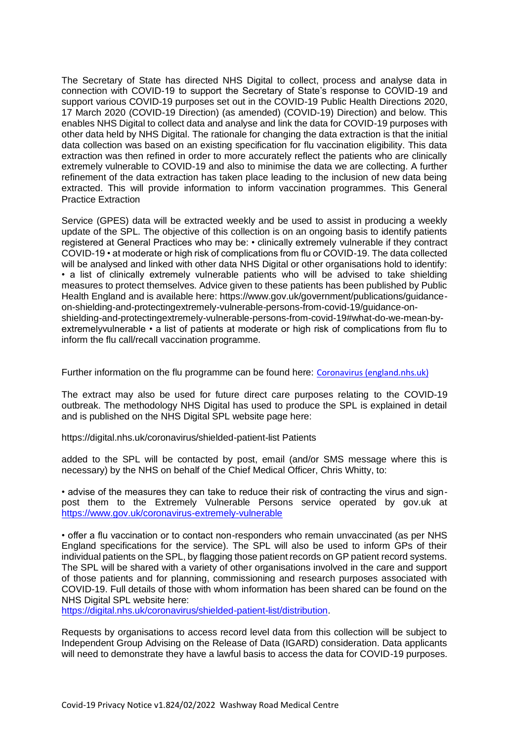The Secretary of State has directed NHS Digital to collect, process and analyse data in connection with COVID-19 to support the Secretary of State's response to COVID-19 and support various COVID-19 purposes set out in the COVID-19 Public Health Directions 2020, 17 March 2020 (COVID-19 Direction) (as amended) (COVID-19) Direction) and below. This enables NHS Digital to collect data and analyse and link the data for COVID-19 purposes with other data held by NHS Digital. The rationale for changing the data extraction is that the initial data collection was based on an existing specification for flu vaccination eligibility. This data extraction was then refined in order to more accurately reflect the patients who are clinically extremely vulnerable to COVID-19 and also to minimise the data we are collecting. A further refinement of the data extraction has taken place leading to the inclusion of new data being extracted. This will provide information to inform vaccination programmes. This General Practice Extraction

Service (GPES) data will be extracted weekly and be used to assist in producing a weekly update of the SPL. The objective of this collection is on an ongoing basis to identify patients registered at General Practices who may be: • clinically extremely vulnerable if they contract COVID-19 • at moderate or high risk of complications from flu or COVID-19. The data collected will be analysed and linked with other data NHS Digital or other organisations hold to identify: • a list of clinically extremely vulnerable patients who will be advised to take shielding measures to protect themselves. Advice given to these patients has been published by Public Health England and is available here: https://www.gov.uk/government/publications/guidanceon-shielding-and-protectingextremely-vulnerable-persons-from-covid-19/guidance-onshielding-and-protectingextremely-vulnerable-persons-from-covid-19#what-do-we-mean-byextremelyvulnerable • a list of patients at moderate or high risk of complications from flu to inform the flu call/recall vaccination programme.

Further information on the flu programme can be found here: [Coronavirus \(england.nhs.uk\)](https://www.england.nhs.uk/coronavirus/)

The extract may also be used for future direct care purposes relating to the COVID-19 outbreak. The methodology NHS Digital has used to produce the SPL is explained in detail and is published on the NHS Digital SPL website page here:

https://digital.nhs.uk/coronavirus/shielded-patient-list Patients

added to the SPL will be contacted by post, email (and/or SMS message where this is necessary) by the NHS on behalf of the Chief Medical Officer, Chris Whitty, to:

• advise of the measures they can take to reduce their risk of contracting the virus and signpost them to the Extremely Vulnerable Persons service operated by gov.uk at <https://www.gov.uk/coronavirus-extremely-vulnerable>

• offer a flu vaccination or to contact non-responders who remain unvaccinated (as per NHS England specifications for the service). The SPL will also be used to inform GPs of their individual patients on the SPL, by flagging those patient records on GP patient record systems. The SPL will be shared with a variety of other organisations involved in the care and support of those patients and for planning, commissioning and research purposes associated with COVID-19. Full details of those with whom information has been shared can be found on the NHS Digital SPL website here:

[https://digital.nhs.uk/coronavirus/shielded-patient-list/distribution.](https://digital.nhs.uk/coronavirus/shielded-patient-list/distribution)

Requests by organisations to access record level data from this collection will be subject to Independent Group Advising on the Release of Data (IGARD) consideration. Data applicants will need to demonstrate they have a lawful basis to access the data for COVID-19 purposes.